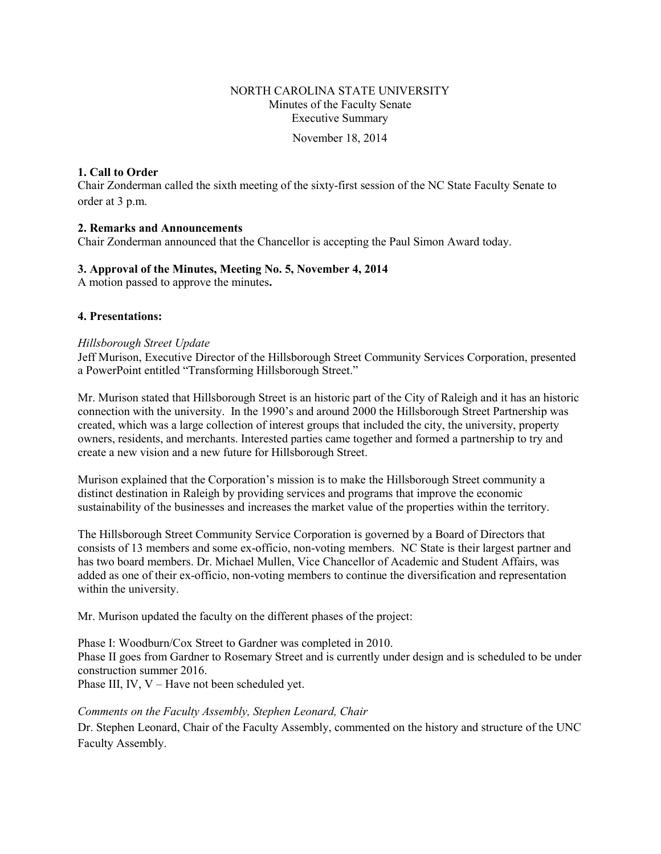## NORTH CAROLINA STATE UNIVERSITY Minutes of the Faculty Senate Executive Summary

November 18, 2014

### **1. Call to Order**

Chair Zonderman called the sixth meeting of the sixty-first session of the NC State Faculty Senate to order at 3 p.m.

### **2. Remarks and Announcements**

Chair Zonderman announced that the Chancellor is accepting the Paul Simon Award today.

### **3. Approval of the Minutes, Meeting No. 5, November 4, 2014**

A motion passed to approve the minutes**.** 

### **4. Presentations:**

#### *Hillsborough Street Update*

Jeff Murison, Executive Director of the Hillsborough Street Community Services Corporation, presented a PowerPoint entitled "Transforming Hillsborough Street."

Mr. Murison stated that Hillsborough Street is an historic part of the City of Raleigh and it has an historic connection with the university. In the 1990's and around 2000 the Hillsborough Street Partnership was created, which was a large collection of interest groups that included the city, the university, property owners, residents, and merchants. Interested parties came together and formed a partnership to try and create a new vision and a new future for Hillsborough Street.

Murison explained that the Corporation's mission is to make the Hillsborough Street community a distinct destination in Raleigh by providing services and programs that improve the economic sustainability of the businesses and increases the market value of the properties within the territory.

The Hillsborough Street Community Service Corporation is governed by a Board of Directors that consists of 13 members and some ex-officio, non-voting members. NC State is their largest partner and has two board members. Dr. Michael Mullen, Vice Chancellor of Academic and Student Affairs, was added as one of their ex-officio, non-voting members to continue the diversification and representation within the university.

Mr. Murison updated the faculty on the different phases of the project:

Phase I: Woodburn/Cox Street to Gardner was completed in 2010. Phase II goes from Gardner to Rosemary Street and is currently under design and is scheduled to be under construction summer 2016.

Phase III, IV, V – Have not been scheduled yet.

### *Comments on the Faculty Assembly, Stephen Leonard, Chair*

Dr. Stephen Leonard, Chair of the Faculty Assembly, commented on the history and structure of the UNC Faculty Assembly.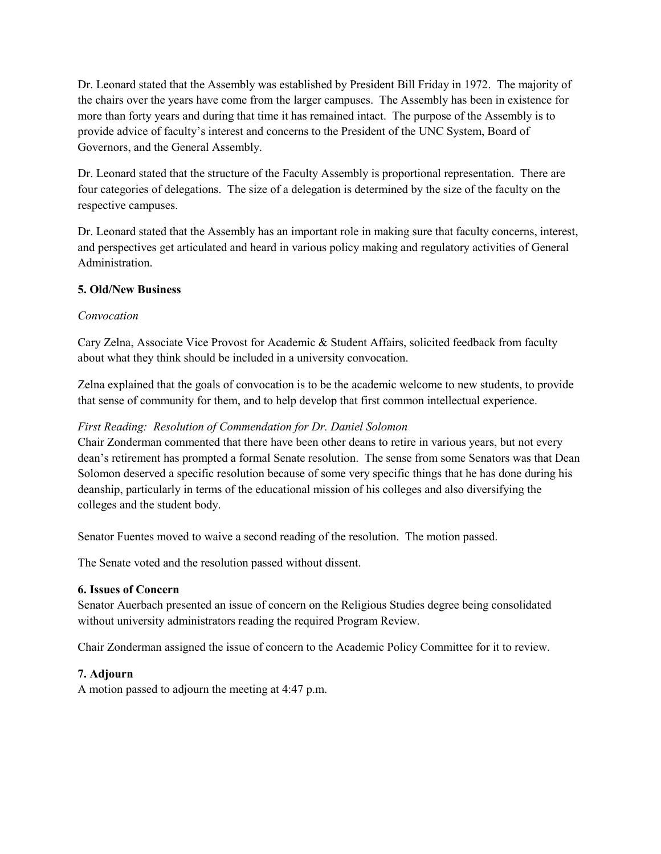Dr. Leonard stated that the Assembly was established by President Bill Friday in 1972. The majority of the chairs over the years have come from the larger campuses. The Assembly has been in existence for more than forty years and during that time it has remained intact. The purpose of the Assembly is to provide advice of faculty's interest and concerns to the President of the UNC System, Board of Governors, and the General Assembly.

Dr. Leonard stated that the structure of the Faculty Assembly is proportional representation. There are four categories of delegations. The size of a delegation is determined by the size of the faculty on the respective campuses.

Dr. Leonard stated that the Assembly has an important role in making sure that faculty concerns, interest, and perspectives get articulated and heard in various policy making and regulatory activities of General Administration.

## **5. Old/New Business**

### *Convocation*

Cary Zelna, Associate Vice Provost for Academic & Student Affairs, solicited feedback from faculty about what they think should be included in a university convocation.

Zelna explained that the goals of convocation is to be the academic welcome to new students, to provide that sense of community for them, and to help develop that first common intellectual experience.

## *First Reading: Resolution of Commendation for Dr. Daniel Solomon*

Chair Zonderman commented that there have been other deans to retire in various years, but not every dean's retirement has prompted a formal Senate resolution. The sense from some Senators was that Dean Solomon deserved a specific resolution because of some very specific things that he has done during his deanship, particularly in terms of the educational mission of his colleges and also diversifying the colleges and the student body.

Senator Fuentes moved to waive a second reading of the resolution. The motion passed.

The Senate voted and the resolution passed without dissent.

### **6. Issues of Concern**

Senator Auerbach presented an issue of concern on the Religious Studies degree being consolidated without university administrators reading the required Program Review.

Chair Zonderman assigned the issue of concern to the Academic Policy Committee for it to review.

## **7. Adjourn**

A motion passed to adjourn the meeting at 4:47 p.m.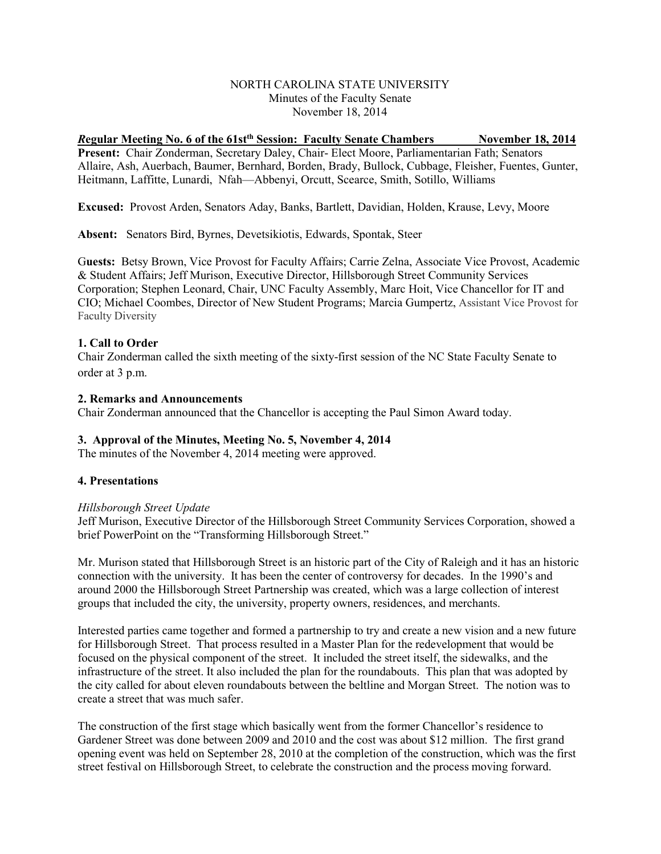### NORTH CAROLINA STATE UNIVERSITY Minutes of the Faculty Senate November 18, 2014

## *R***egular Meeting No. 6 of the 61stth Session: Faculty Senate Chambers November 18, 2014**

**Present:** Chair Zonderman, Secretary Daley, Chair- Elect Moore, Parliamentarian Fath; Senators Allaire, Ash, Auerbach, Baumer, Bernhard, Borden, Brady, Bullock, Cubbage, Fleisher, Fuentes, Gunter, Heitmann, Laffitte, Lunardi, Nfah—Abbenyi, Orcutt, Scearce, Smith, Sotillo, Williams

**Excused:** Provost Arden, Senators Aday, Banks, Bartlett, Davidian, Holden, Krause, Levy, Moore

**Absent:** Senators Bird, Byrnes, Devetsikiotis, Edwards, Spontak, Steer

G**uests:** Betsy Brown, Vice Provost for Faculty Affairs; Carrie Zelna, Associate Vice Provost, Academic & Student Affairs; Jeff Murison, Executive Director, Hillsborough Street Community Services Corporation; Stephen Leonard, Chair, UNC Faculty Assembly, Marc Hoit, Vice Chancellor for IT and CIO; Michael Coombes, Director of New Student Programs; Marcia Gumpertz, Assistant Vice Provost for Faculty Diversity

### **1. Call to Order**

Chair Zonderman called the sixth meeting of the sixty-first session of the NC State Faculty Senate to order at 3 p.m.

#### **2. Remarks and Announcements**

Chair Zonderman announced that the Chancellor is accepting the Paul Simon Award today.

### **3. Approval of the Minutes, Meeting No. 5, November 4, 2014**

The minutes of the November 4, 2014 meeting were approved.

### **4. Presentations**

#### *Hillsborough Street Update*

Jeff Murison, Executive Director of the Hillsborough Street Community Services Corporation, showed a brief PowerPoint on the "Transforming Hillsborough Street."

Mr. Murison stated that Hillsborough Street is an historic part of the City of Raleigh and it has an historic connection with the university. It has been the center of controversy for decades. In the 1990's and around 2000 the Hillsborough Street Partnership was created, which was a large collection of interest groups that included the city, the university, property owners, residences, and merchants.

Interested parties came together and formed a partnership to try and create a new vision and a new future for Hillsborough Street. That process resulted in a Master Plan for the redevelopment that would be focused on the physical component of the street. It included the street itself, the sidewalks, and the infrastructure of the street. It also included the plan for the roundabouts. This plan that was adopted by the city called for about eleven roundabouts between the beltline and Morgan Street. The notion was to create a street that was much safer.

The construction of the first stage which basically went from the former Chancellor's residence to Gardener Street was done between 2009 and 2010 and the cost was about \$12 million. The first grand opening event was held on September 28, 2010 at the completion of the construction, which was the first street festival on Hillsborough Street, to celebrate the construction and the process moving forward.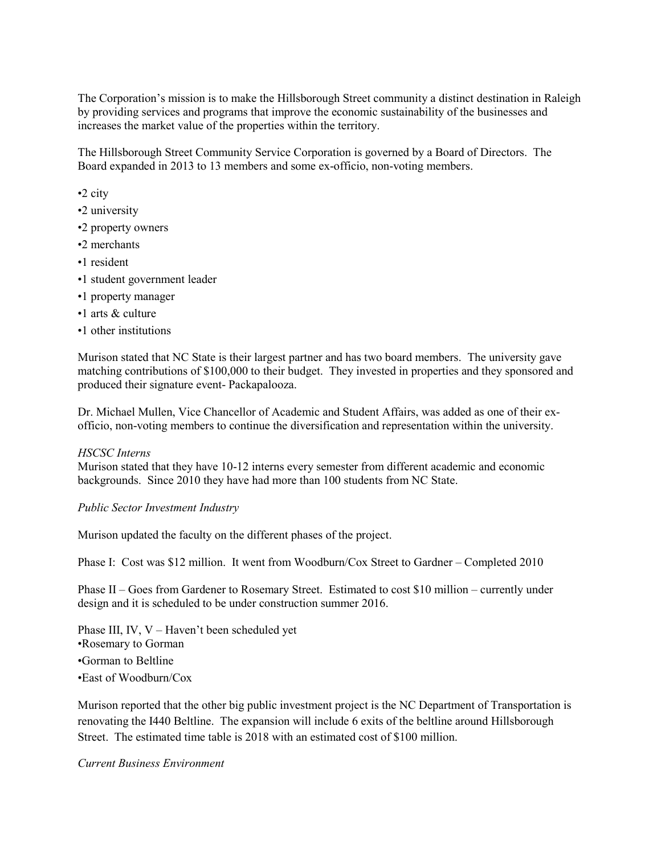The Corporation's mission is to make the Hillsborough Street community a distinct destination in Raleigh by providing services and programs that improve the economic sustainability of the businesses and increases the market value of the properties within the territory.

The Hillsborough Street Community Service Corporation is governed by a Board of Directors. The Board expanded in 2013 to 13 members and some ex-officio, non-voting members.

- •2 city
- •2 university
- •2 property owners
- •2 merchants
- •1 resident
- •1 student government leader
- •1 property manager
- •1 arts & culture
- •1 other institutions

Murison stated that NC State is their largest partner and has two board members. The university gave matching contributions of \$100,000 to their budget. They invested in properties and they sponsored and produced their signature event- Packapalooza.

Dr. Michael Mullen, Vice Chancellor of Academic and Student Affairs, was added as one of their exofficio, non-voting members to continue the diversification and representation within the university.

#### *HSCSC Interns*

Murison stated that they have 10-12 interns every semester from different academic and economic backgrounds. Since 2010 they have had more than 100 students from NC State.

#### *Public Sector Investment Industry*

Murison updated the faculty on the different phases of the project.

Phase I: Cost was \$12 million. It went from Woodburn/Cox Street to Gardner – Completed 2010

Phase II – Goes from Gardener to Rosemary Street. Estimated to cost \$10 million – currently under design and it is scheduled to be under construction summer 2016.

Phase III, IV, V – Haven't been scheduled yet •Rosemary to Gorman •Gorman to Beltline •East of Woodburn/Cox

Murison reported that the other big public investment project is the NC Department of Transportation is renovating the I440 Beltline. The expansion will include 6 exits of the beltline around Hillsborough Street. The estimated time table is 2018 with an estimated cost of \$100 million.

*Current Business Environment*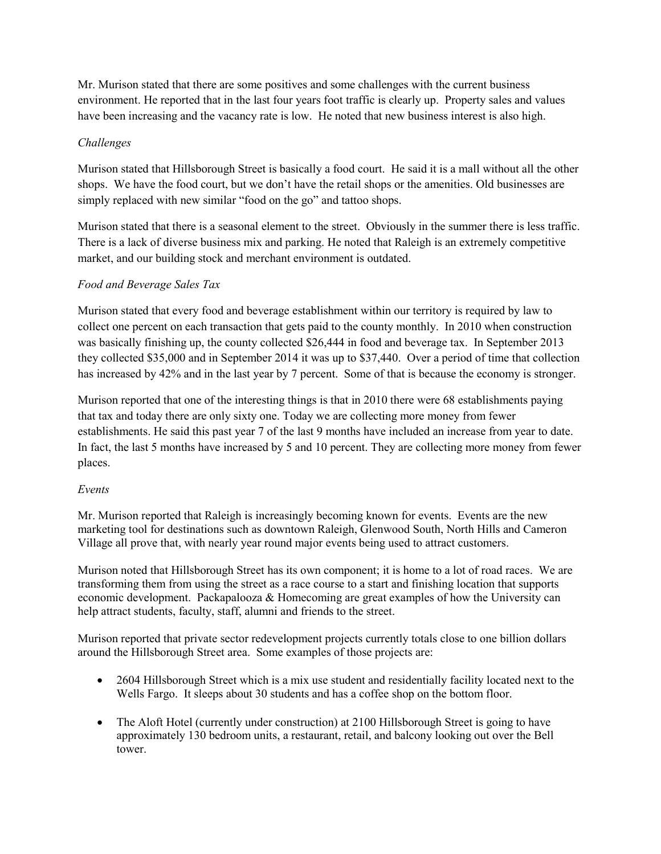Mr. Murison stated that there are some positives and some challenges with the current business environment. He reported that in the last four years foot traffic is clearly up. Property sales and values have been increasing and the vacancy rate is low. He noted that new business interest is also high.

## *Challenges*

Murison stated that Hillsborough Street is basically a food court. He said it is a mall without all the other shops. We have the food court, but we don't have the retail shops or the amenities. Old businesses are simply replaced with new similar "food on the go" and tattoo shops.

Murison stated that there is a seasonal element to the street. Obviously in the summer there is less traffic. There is a lack of diverse business mix and parking. He noted that Raleigh is an extremely competitive market, and our building stock and merchant environment is outdated.

## *Food and Beverage Sales Tax*

Murison stated that every food and beverage establishment within our territory is required by law to collect one percent on each transaction that gets paid to the county monthly. In 2010 when construction was basically finishing up, the county collected \$26,444 in food and beverage tax. In September 2013 they collected \$35,000 and in September 2014 it was up to \$37,440. Over a period of time that collection has increased by 42% and in the last year by 7 percent. Some of that is because the economy is stronger.

Murison reported that one of the interesting things is that in 2010 there were 68 establishments paying that tax and today there are only sixty one. Today we are collecting more money from fewer establishments. He said this past year 7 of the last 9 months have included an increase from year to date. In fact, the last 5 months have increased by 5 and 10 percent. They are collecting more money from fewer places.

## *Events*

Mr. Murison reported that Raleigh is increasingly becoming known for events. Events are the new marketing tool for destinations such as downtown Raleigh, Glenwood South, North Hills and Cameron Village all prove that, with nearly year round major events being used to attract customers.

Murison noted that Hillsborough Street has its own component; it is home to a lot of road races. We are transforming them from using the street as a race course to a start and finishing location that supports economic development. Packapalooza & Homecoming are great examples of how the University can help attract students, faculty, staff, alumni and friends to the street.

Murison reported that private sector redevelopment projects currently totals close to one billion dollars around the Hillsborough Street area. Some examples of those projects are:

- 2604 Hillsborough Street which is a mix use student and residentially facility located next to the Wells Fargo. It sleeps about 30 students and has a coffee shop on the bottom floor.
- The Aloft Hotel (currently under construction) at 2100 Hillsborough Street is going to have approximately 130 bedroom units, a restaurant, retail, and balcony looking out over the Bell tower.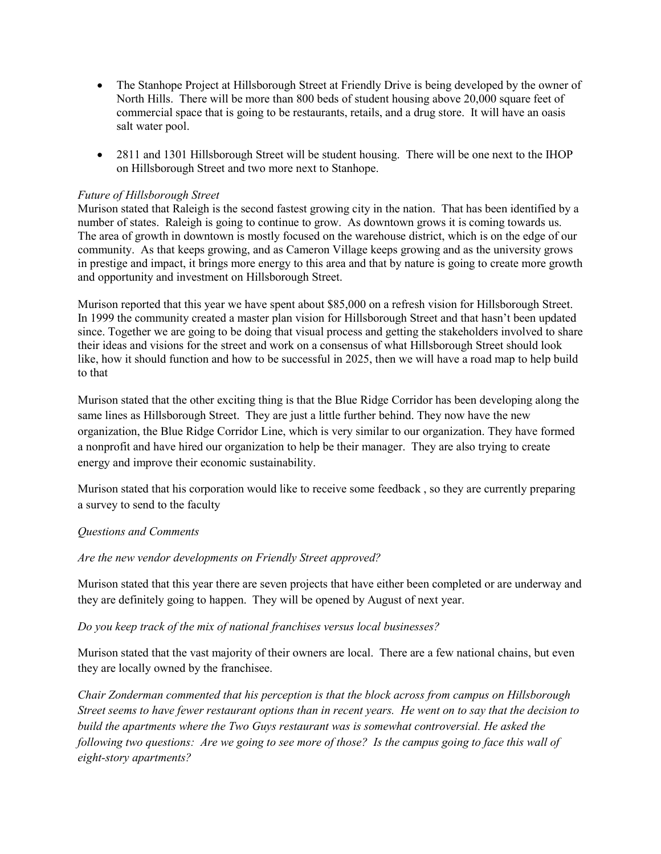- The Stanhope Project at Hillsborough Street at Friendly Drive is being developed by the owner of North Hills. There will be more than 800 beds of student housing above 20,000 square feet of commercial space that is going to be restaurants, retails, and a drug store. It will have an oasis salt water pool.
- 2811 and 1301 Hillsborough Street will be student housing. There will be one next to the IHOP on Hillsborough Street and two more next to Stanhope.

## *Future of Hillsborough Street*

Murison stated that Raleigh is the second fastest growing city in the nation. That has been identified by a number of states. Raleigh is going to continue to grow. As downtown grows it is coming towards us. The area of growth in downtown is mostly focused on the warehouse district, which is on the edge of our community. As that keeps growing, and as Cameron Village keeps growing and as the university grows in prestige and impact, it brings more energy to this area and that by nature is going to create more growth and opportunity and investment on Hillsborough Street.

Murison reported that this year we have spent about \$85,000 on a refresh vision for Hillsborough Street. In 1999 the community created a master plan vision for Hillsborough Street and that hasn't been updated since. Together we are going to be doing that visual process and getting the stakeholders involved to share their ideas and visions for the street and work on a consensus of what Hillsborough Street should look like, how it should function and how to be successful in 2025, then we will have a road map to help build to that

Murison stated that the other exciting thing is that the Blue Ridge Corridor has been developing along the same lines as Hillsborough Street. They are just a little further behind. They now have the new organization, the Blue Ridge Corridor Line, which is very similar to our organization. They have formed a nonprofit and have hired our organization to help be their manager. They are also trying to create energy and improve their economic sustainability.

Murison stated that his corporation would like to receive some feedback , so they are currently preparing a survey to send to the faculty

### *Questions and Comments*

*Are the new vendor developments on Friendly Street approved?*

Murison stated that this year there are seven projects that have either been completed or are underway and they are definitely going to happen. They will be opened by August of next year.

### *Do you keep track of the mix of national franchises versus local businesses?*

Murison stated that the vast majority of their owners are local. There are a few national chains, but even they are locally owned by the franchisee.

*Chair Zonderman commented that his perception is that the block across from campus on Hillsborough Street seems to have fewer restaurant options than in recent years. He went on to say that the decision to build the apartments where the Two Guys restaurant was is somewhat controversial. He asked the following two questions: Are we going to see more of those? Is the campus going to face this wall of eight-story apartments?*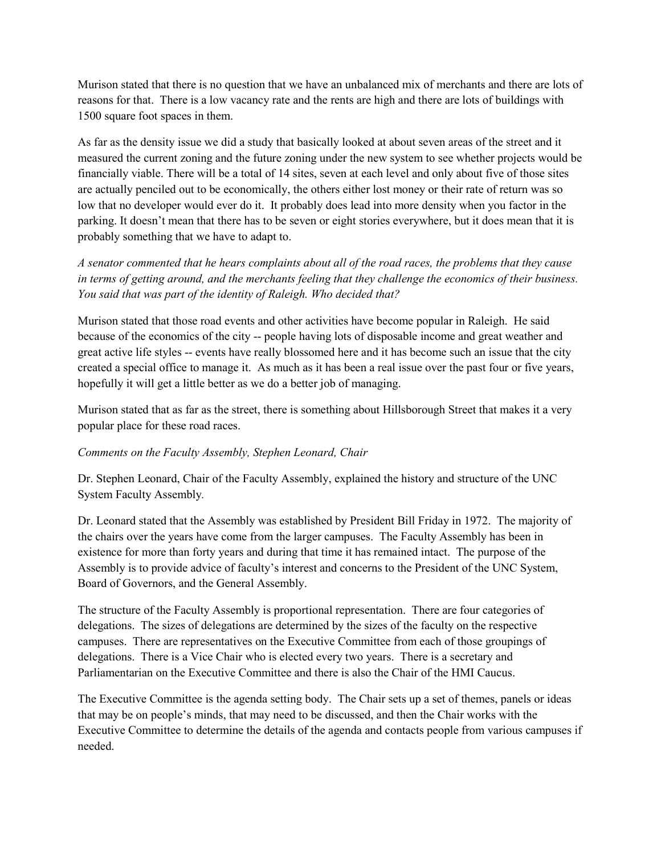Murison stated that there is no question that we have an unbalanced mix of merchants and there are lots of reasons for that. There is a low vacancy rate and the rents are high and there are lots of buildings with 1500 square foot spaces in them.

As far as the density issue we did a study that basically looked at about seven areas of the street and it measured the current zoning and the future zoning under the new system to see whether projects would be financially viable. There will be a total of 14 sites, seven at each level and only about five of those sites are actually penciled out to be economically, the others either lost money or their rate of return was so low that no developer would ever do it. It probably does lead into more density when you factor in the parking. It doesn't mean that there has to be seven or eight stories everywhere, but it does mean that it is probably something that we have to adapt to.

*A senator commented that he hears complaints about all of the road races, the problems that they cause in terms of getting around, and the merchants feeling that they challenge the economics of their business. You said that was part of the identity of Raleigh. Who decided that?*

Murison stated that those road events and other activities have become popular in Raleigh. He said because of the economics of the city -- people having lots of disposable income and great weather and great active life styles -- events have really blossomed here and it has become such an issue that the city created a special office to manage it. As much as it has been a real issue over the past four or five years, hopefully it will get a little better as we do a better job of managing.

Murison stated that as far as the street, there is something about Hillsborough Street that makes it a very popular place for these road races.

## *Comments on the Faculty Assembly, Stephen Leonard, Chair*

Dr. Stephen Leonard, Chair of the Faculty Assembly, explained the history and structure of the UNC System Faculty Assembly*.* 

Dr. Leonard stated that the Assembly was established by President Bill Friday in 1972. The majority of the chairs over the years have come from the larger campuses. The Faculty Assembly has been in existence for more than forty years and during that time it has remained intact. The purpose of the Assembly is to provide advice of faculty's interest and concerns to the President of the UNC System, Board of Governors, and the General Assembly.

The structure of the Faculty Assembly is proportional representation. There are four categories of delegations. The sizes of delegations are determined by the sizes of the faculty on the respective campuses. There are representatives on the Executive Committee from each of those groupings of delegations. There is a Vice Chair who is elected every two years. There is a secretary and Parliamentarian on the Executive Committee and there is also the Chair of the HMI Caucus.

The Executive Committee is the agenda setting body. The Chair sets up a set of themes, panels or ideas that may be on people's minds, that may need to be discussed, and then the Chair works with the Executive Committee to determine the details of the agenda and contacts people from various campuses if needed.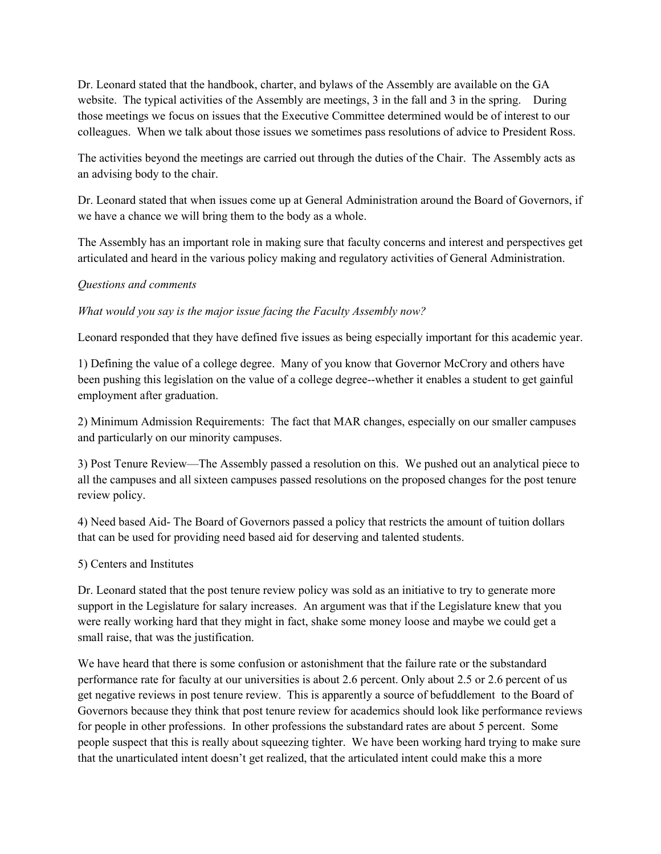Dr. Leonard stated that the handbook, charter, and bylaws of the Assembly are available on the GA website. The typical activities of the Assembly are meetings, 3 in the fall and 3 in the spring. During those meetings we focus on issues that the Executive Committee determined would be of interest to our colleagues. When we talk about those issues we sometimes pass resolutions of advice to President Ross.

The activities beyond the meetings are carried out through the duties of the Chair. The Assembly acts as an advising body to the chair.

Dr. Leonard stated that when issues come up at General Administration around the Board of Governors, if we have a chance we will bring them to the body as a whole.

The Assembly has an important role in making sure that faculty concerns and interest and perspectives get articulated and heard in the various policy making and regulatory activities of General Administration.

### *Questions and comments*

*What would you say is the major issue facing the Faculty Assembly now?*

Leonard responded that they have defined five issues as being especially important for this academic year.

1) Defining the value of a college degree. Many of you know that Governor McCrory and others have been pushing this legislation on the value of a college degree--whether it enables a student to get gainful employment after graduation.

2) Minimum Admission Requirements: The fact that MAR changes, especially on our smaller campuses and particularly on our minority campuses.

3) Post Tenure Review—The Assembly passed a resolution on this. We pushed out an analytical piece to all the campuses and all sixteen campuses passed resolutions on the proposed changes for the post tenure review policy.

4) Need based Aid- The Board of Governors passed a policy that restricts the amount of tuition dollars that can be used for providing need based aid for deserving and talented students.

5) Centers and Institutes

Dr. Leonard stated that the post tenure review policy was sold as an initiative to try to generate more support in the Legislature for salary increases. An argument was that if the Legislature knew that you were really working hard that they might in fact, shake some money loose and maybe we could get a small raise, that was the justification.

We have heard that there is some confusion or astonishment that the failure rate or the substandard performance rate for faculty at our universities is about 2.6 percent. Only about 2.5 or 2.6 percent of us get negative reviews in post tenure review. This is apparently a source of befuddlement to the Board of Governors because they think that post tenure review for academics should look like performance reviews for people in other professions. In other professions the substandard rates are about 5 percent. Some people suspect that this is really about squeezing tighter. We have been working hard trying to make sure that the unarticulated intent doesn't get realized, that the articulated intent could make this a more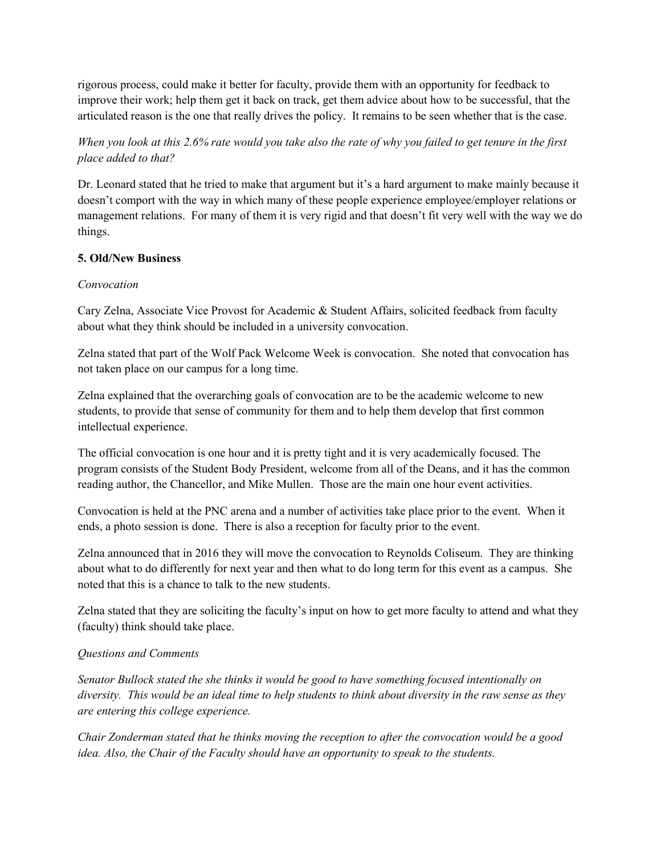rigorous process, could make it better for faculty, provide them with an opportunity for feedback to improve their work; help them get it back on track, get them advice about how to be successful, that the articulated reason is the one that really drives the policy. It remains to be seen whether that is the case.

# *When you look at this 2.6% rate would you take also the rate of why you failed to get tenure in the first place added to that?*

Dr. Leonard stated that he tried to make that argument but it's a hard argument to make mainly because it doesn't comport with the way in which many of these people experience employee/employer relations or management relations. For many of them it is very rigid and that doesn't fit very well with the way we do things.

# **5. Old/New Business**

## *Convocation*

Cary Zelna, Associate Vice Provost for Academic & Student Affairs, solicited feedback from faculty about what they think should be included in a university convocation.

Zelna stated that part of the Wolf Pack Welcome Week is convocation. She noted that convocation has not taken place on our campus for a long time.

Zelna explained that the overarching goals of convocation are to be the academic welcome to new students, to provide that sense of community for them and to help them develop that first common intellectual experience.

The official convocation is one hour and it is pretty tight and it is very academically focused. The program consists of the Student Body President, welcome from all of the Deans, and it has the common reading author, the Chancellor, and Mike Mullen. Those are the main one hour event activities.

Convocation is held at the PNC arena and a number of activities take place prior to the event. When it ends, a photo session is done. There is also a reception for faculty prior to the event.

Zelna announced that in 2016 they will move the convocation to Reynolds Coliseum. They are thinking about what to do differently for next year and then what to do long term for this event as a campus. She noted that this is a chance to talk to the new students.

Zelna stated that they are soliciting the faculty's input on how to get more faculty to attend and what they (faculty) think should take place.

# *Questions and Comments*

*Senator Bullock stated the she thinks it would be good to have something focused intentionally on diversity. This would be an ideal time to help students to think about diversity in the raw sense as they are entering this college experience.* 

*Chair Zonderman stated that he thinks moving the reception to after the convocation would be a good idea. Also, the Chair of the Faculty should have an opportunity to speak to the students.*